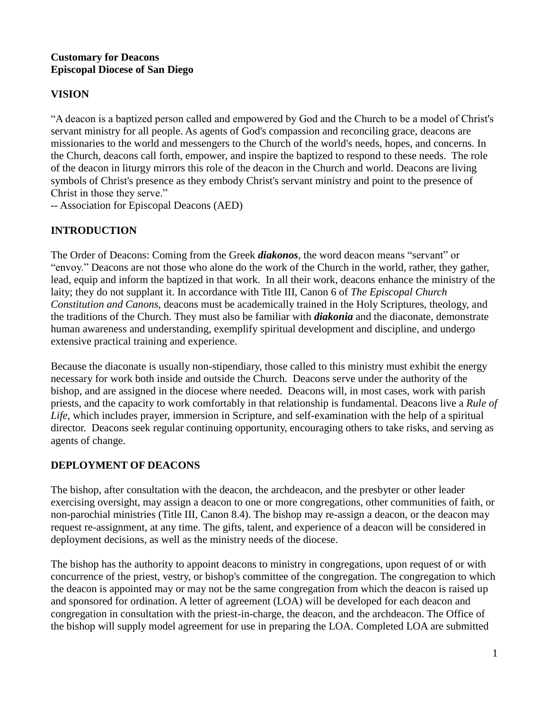### **Customary for Deacons Episcopal Diocese of San Diego**

# **VISION**

"A deacon is a baptized person called and empowered by God and the Church to be a model of Christ's servant ministry for all people. As agents of God's compassion and reconciling grace, deacons are missionaries to the world and messengers to the Church of the world's needs, hopes, and concerns. In the Church, deacons call forth, empower, and inspire the baptized to respond to these needs. The role of the deacon in liturgy mirrors this role of the deacon in the Church and world. Deacons are living symbols of Christ's presence as they embody Christ's servant ministry and point to the presence of Christ in those they serve."

-- Association for Episcopal Deacons (AED)

# **INTRODUCTION**

The Order of Deacons: Coming from the Greek *diakonos*, the word deacon means "servant" or "envoy." Deacons are not those who alone do the work of the Church in the world, rather, they gather, lead, equip and inform the baptized in that work. In all their work, deacons enhance the ministry of the laity; they do not supplant it. In accordance with Title III, Canon 6 of *The Episcopal Church Constitution and Canons,* deacons must be academically trained in the Holy Scriptures, theology, and the traditions of the Church. They must also be familiar with *diakonia* and the diaconate, demonstrate human awareness and understanding, exemplify spiritual development and discipline, and undergo extensive practical training and experience.

Because the diaconate is usually non-stipendiary, those called to this ministry must exhibit the energy necessary for work both inside and outside the Church. Deacons serve under the authority of the bishop, and are assigned in the diocese where needed. Deacons will, in most cases, work with parish priests, and the capacity to work comfortably in that relationship is fundamental. Deacons live a *Rule of Life,* which includes prayer, immersion in Scripture, and self-examination with the help of a spiritual director. Deacons seek regular continuing opportunity, encouraging others to take risks, and serving as agents of change.

## **DEPLOYMENT OF DEACONS**

The bishop, after consultation with the deacon, the archdeacon, and the presbyter or other leader exercising oversight, may assign a deacon to one or more congregations, other communities of faith, or non-parochial ministries (Title III, Canon 8.4). The bishop may re-assign a deacon, or the deacon may request re-assignment, at any time. The gifts, talent, and experience of a deacon will be considered in deployment decisions, as well as the ministry needs of the diocese.

The bishop has the authority to appoint deacons to ministry in congregations, upon request of or with concurrence of the priest, vestry, or bishop's committee of the congregation. The congregation to which the deacon is appointed may or may not be the same congregation from which the deacon is raised up and sponsored for ordination. A letter of agreement (LOA) will be developed for each deacon and congregation in consultation with the priest-in-charge, the deacon, and the archdeacon. The Office of the bishop will supply model agreement for use in preparing the LOA. Completed LOA are submitted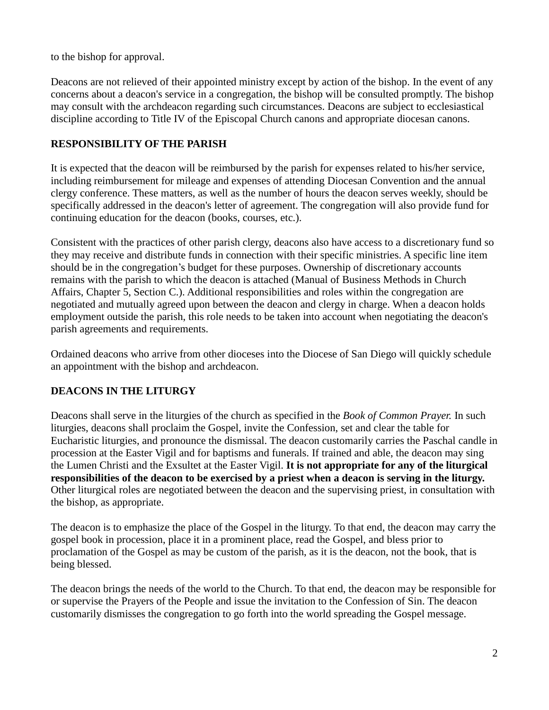to the bishop for approval.

Deacons are not relieved of their appointed ministry except by action of the bishop. In the event of any concerns about a deacon's service in a congregation, the bishop will be consulted promptly. The bishop may consult with the archdeacon regarding such circumstances. Deacons are subject to ecclesiastical discipline according to Title IV of the Episcopal Church canons and appropriate diocesan canons.

### **RESPONSIBILITY OF THE PARISH**

It is expected that the deacon will be reimbursed by the parish for expenses related to his/her service, including reimbursement for mileage and expenses of attending Diocesan Convention and the annual clergy conference. These matters, as well as the number of hours the deacon serves weekly, should be specifically addressed in the deacon's letter of agreement. The congregation will also provide fund for continuing education for the deacon (books, courses, etc.).

Consistent with the practices of other parish clergy, deacons also have access to a discretionary fund so they may receive and distribute funds in connection with their specific ministries. A specific line item should be in the congregation's budget for these purposes. Ownership of discretionary accounts remains with the parish to which the deacon is attached (Manual of Business Methods in Church Affairs, Chapter 5, Section C.). Additional responsibilities and roles within the congregation are negotiated and mutually agreed upon between the deacon and clergy in charge. When a deacon holds employment outside the parish, this role needs to be taken into account when negotiating the deacon's parish agreements and requirements.

Ordained deacons who arrive from other dioceses into the Diocese of San Diego will quickly schedule an appointment with the bishop and archdeacon.

## **DEACONS IN THE LITURGY**

Deacons shall serve in the liturgies of the church as specified in the *Book of Common Prayer.* In such liturgies, deacons shall proclaim the Gospel, invite the Confession, set and clear the table for Eucharistic liturgies, and pronounce the dismissal. The deacon customarily carries the Paschal candle in procession at the Easter Vigil and for baptisms and funerals. If trained and able, the deacon may sing the Lumen Christi and the Exsultet at the Easter Vigil. **It is not appropriate for any of the liturgical responsibilities of the deacon to be exercised by a priest when a deacon is serving in the liturgy.** Other liturgical roles are negotiated between the deacon and the supervising priest, in consultation with the bishop, as appropriate.

The deacon is to emphasize the place of the Gospel in the liturgy. To that end, the deacon may carry the gospel book in procession, place it in a prominent place, read the Gospel, and bless prior to proclamation of the Gospel as may be custom of the parish, as it is the deacon, not the book, that is being blessed.

The deacon brings the needs of the world to the Church. To that end, the deacon may be responsible for or supervise the Prayers of the People and issue the invitation to the Confession of Sin. The deacon customarily dismisses the congregation to go forth into the world spreading the Gospel message.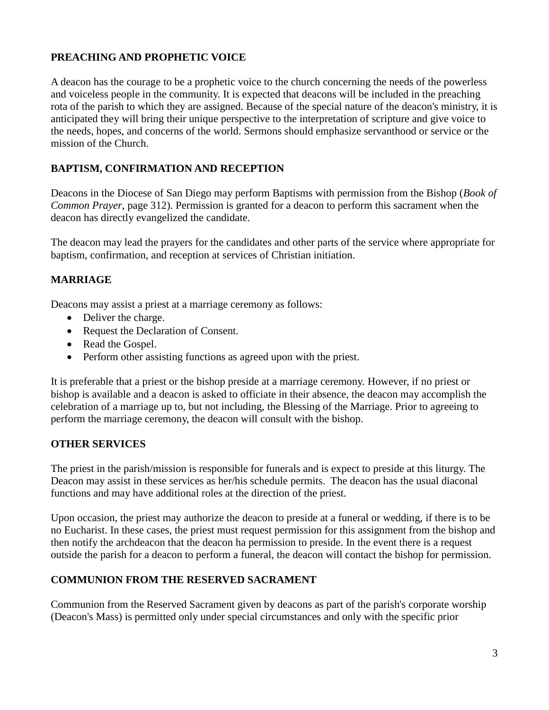#### **PREACHING AND PROPHETIC VOICE**

A deacon has the courage to be a prophetic voice to the church concerning the needs of the powerless and voiceless people in the community. It is expected that deacons will be included in the preaching rota of the parish to which they are assigned. Because of the special nature of the deacon's ministry, it is anticipated they will bring their unique perspective to the interpretation of scripture and give voice to the needs, hopes, and concerns of the world. Sermons should emphasize servanthood or service or the mission of the Church.

### **BAPTISM, CONFIRMATION AND RECEPTION**

Deacons in the Diocese of San Diego may perform Baptisms with permission from the Bishop (*Book of Common Prayer*, page 312). Permission is granted for a deacon to perform this sacrament when the deacon has directly evangelized the candidate.

The deacon may lead the prayers for the candidates and other parts of the service where appropriate for baptism, confirmation, and reception at services of Christian initiation.

### **MARRIAGE**

Deacons may assist a priest at a marriage ceremony as follows:

- Deliver the charge.
- Request the Declaration of Consent.
- Read the Gospel.
- Perform other assisting functions as agreed upon with the priest.

It is preferable that a priest or the bishop preside at a marriage ceremony. However, if no priest or bishop is available and a deacon is asked to officiate in their absence, the deacon may accomplish the celebration of a marriage up to, but not including, the Blessing of the Marriage. Prior to agreeing to perform the marriage ceremony, the deacon will consult with the bishop.

#### **OTHER SERVICES**

The priest in the parish/mission is responsible for funerals and is expect to preside at this liturgy. The Deacon may assist in these services as her/his schedule permits. The deacon has the usual diaconal functions and may have additional roles at the direction of the priest.

Upon occasion, the priest may authorize the deacon to preside at a funeral or wedding, if there is to be no Eucharist. In these cases, the priest must request permission for this assignment from the bishop and then notify the archdeacon that the deacon ha permission to preside. In the event there is a request outside the parish for a deacon to perform a funeral, the deacon will contact the bishop for permission.

#### **COMMUNION FROM THE RESERVED SACRAMENT**

Communion from the Reserved Sacrament given by deacons as part of the parish's corporate worship (Deacon's Mass) is permitted only under special circumstances and only with the specific prior